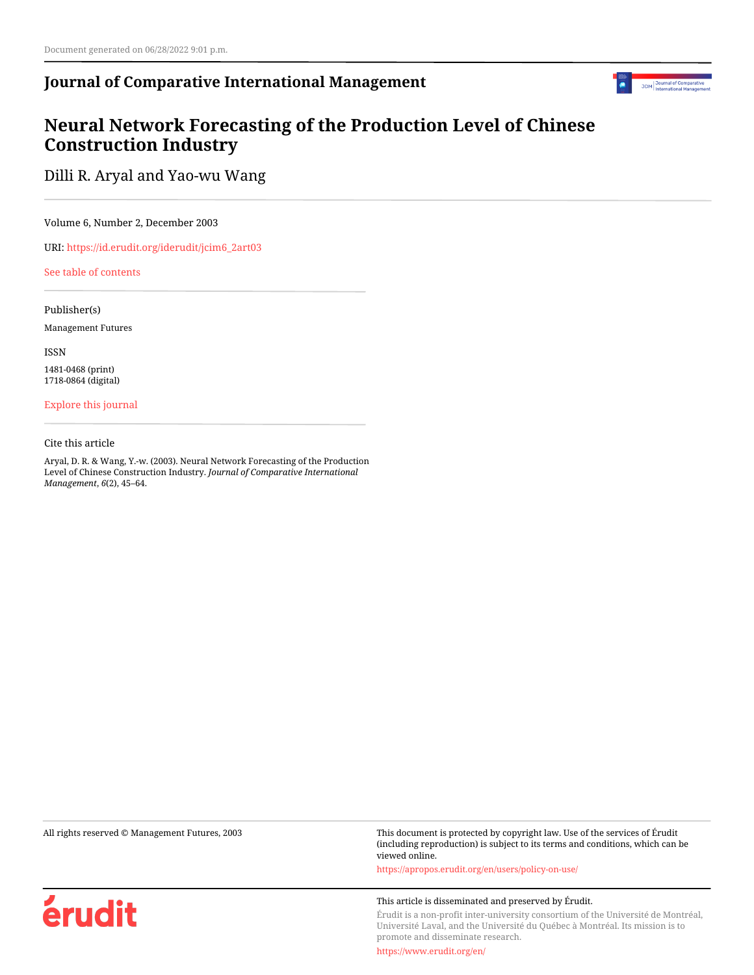## **Journal of Comparative International Management**



# **Neural Network Forecasting of the Production Level of Chinese Construction Industry**

Dilli R. Aryal and Yao-wu Wang

Volume 6, Number 2, December 2003

URI: [https://id.erudit.org/iderudit/jcim6\\_2art03](https://id.erudit.org/iderudit/jcim6_2art03)

[See table of contents](https://www.erudit.org/en/journals/jcim/2003-v6-n2-jcim_6_2/)

Publisher(s)

Management Futures

ISSN

1481-0468 (print) 1718-0864 (digital)

[Explore this journal](https://www.erudit.org/en/journals/jcim/)

Cite this article

Aryal, D. R. & Wang, Y.-w. (2003). Neural Network Forecasting of the Production Level of Chinese Construction Industry. *Journal of Comparative International Management*, *6*(2), 45–64.

érudit

All rights reserved © Management Futures, 2003 This document is protected by copyright law. Use of the services of Érudit (including reproduction) is subject to its terms and conditions, which can be viewed online.

<https://apropos.erudit.org/en/users/policy-on-use/>

#### This article is disseminated and preserved by Érudit.

Érudit is a non-profit inter-university consortium of the Université de Montréal, Université Laval, and the Université du Québec à Montréal. Its mission is to promote and disseminate research.

<https://www.erudit.org/en/>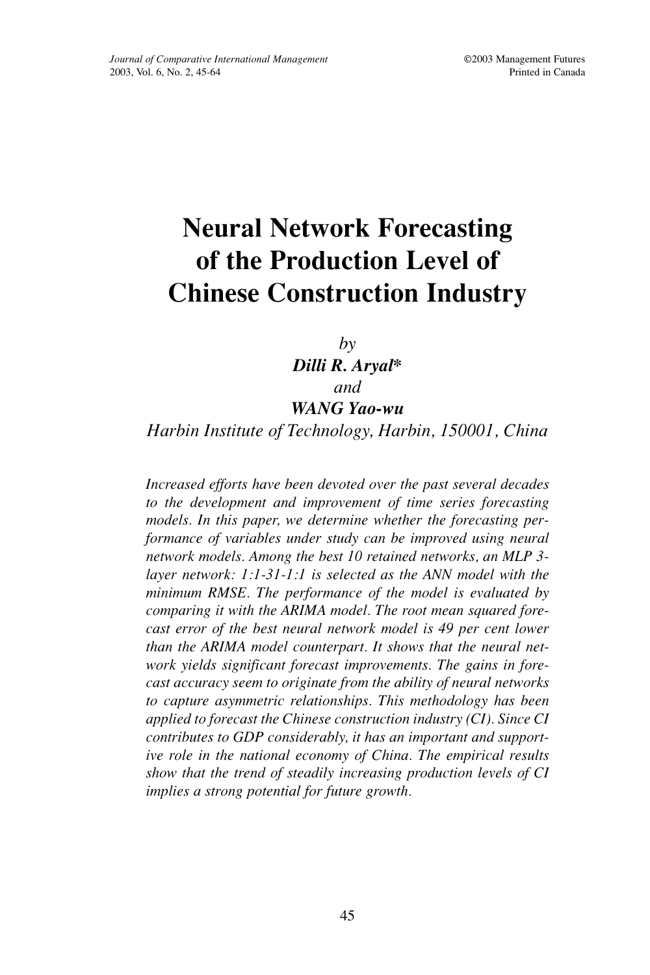# **Neural Network Forecasting of the Production Level of Chinese Construction Industry**

*by Dilli R. Aryal\* and WANG Yao-wu*

## *Harbin Institute of Technology, Harbin, 150001, China*

*Increased efforts have been devoted over the past several decades to the development and improvement of time series forecasting models. In this paper, we determine whether the forecasting performance of variables under study can be improved using neural network models. Among the best 10 retained networks, an MLP 3 layer network: 1:1-31-1:1 is selected as the ANN model with the minimum RMSE. The performance of the model is evaluated by comparing it with the ARIMA model. The root mean squared forecast error of the best neural network model is 49 per cent lower than the ARIMA model counterpart. It shows that the neural network yields significant forecast improvements. The gains in forecast accuracy seem to originate from the ability of neural networks to capture asymmetric relationships. This methodology has been applied to forecast the Chinese construction industry (CI). Since CI contributes to GDP considerably, it has an important and supportive role in the national economy of China. The empirical results show that the trend of steadily increasing production levels of CI implies a strong potential for future growth.*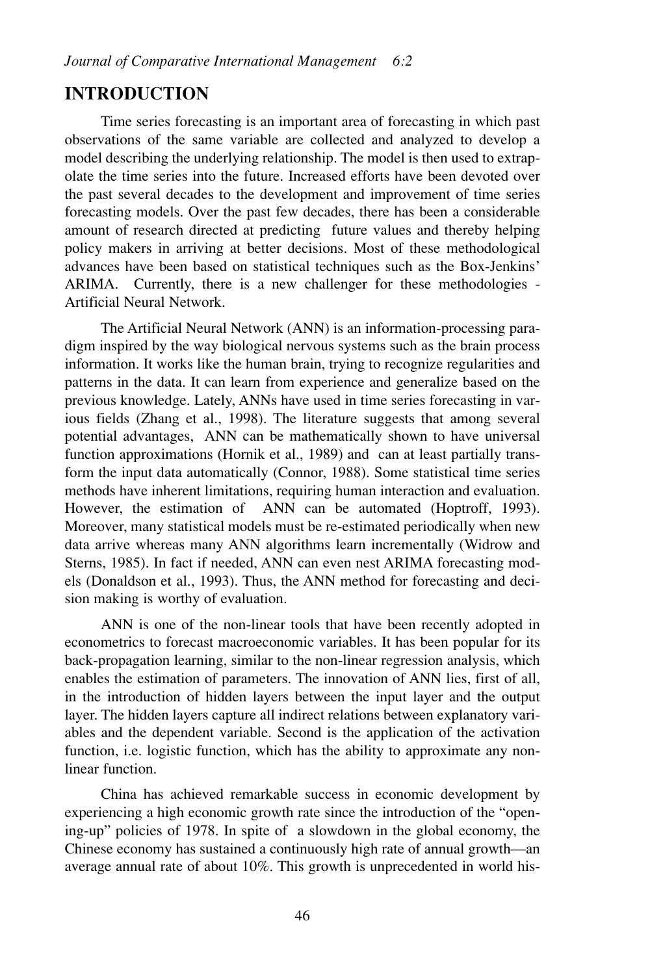## **INTRODUCTION**

Time series forecasting is an important area of forecasting in which past observations of the same variable are collected and analyzed to develop a model describing the underlying relationship. The model is then used to extrapolate the time series into the future. Increased efforts have been devoted over the past several decades to the development and improvement of time series forecasting models. Over the past few decades, there has been a considerable amount of research directed at predicting future values and thereby helping policy makers in arriving at better decisions. Most of these methodological advances have been based on statistical techniques such as the Box-Jenkins' ARIMA. Currently, there is a new challenger for these methodologies - Artificial Neural Network.

The Artificial Neural Network (ANN) is an information-processing paradigm inspired by the way biological nervous systems such as the brain process information. It works like the human brain, trying to recognize regularities and patterns in the data. It can learn from experience and generalize based on the previous knowledge. Lately, ANNs have used in time series forecasting in various fields (Zhang et al., 1998). The literature suggests that among several potential advantages, ANN can be mathematically shown to have universal function approximations (Hornik et al., 1989) and can at least partially transform the input data automatically (Connor, 1988). Some statistical time series methods have inherent limitations, requiring human interaction and evaluation. However, the estimation of ANN can be automated (Hoptroff, 1993). Moreover, many statistical models must be re-estimated periodically when new data arrive whereas many ANN algorithms learn incrementally (Widrow and Sterns, 1985). In fact if needed, ANN can even nest ARIMA forecasting models (Donaldson et al., 1993). Thus, the ANN method for forecasting and decision making is worthy of evaluation.

ANN is one of the non-linear tools that have been recently adopted in econometrics to forecast macroeconomic variables. It has been popular for its back-propagation learning, similar to the non-linear regression analysis, which enables the estimation of parameters. The innovation of ANN lies, first of all, in the introduction of hidden layers between the input layer and the output layer. The hidden layers capture all indirect relations between explanatory variables and the dependent variable. Second is the application of the activation function, i.e. logistic function, which has the ability to approximate any nonlinear function.

China has achieved remarkable success in economic development by experiencing a high economic growth rate since the introduction of the "opening-up" policies of 1978. In spite of a slowdown in the global economy, the Chinese economy has sustained a continuously high rate of annual growth—an average annual rate of about 10%. This growth is unprecedented in world his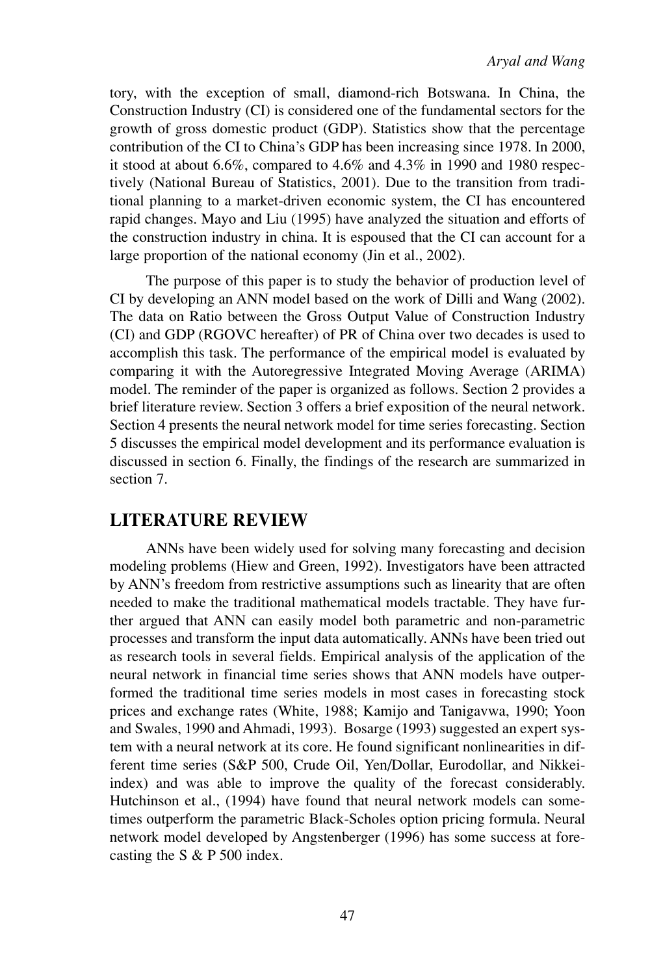tory, with the exception of small, diamond-rich Botswana. In China, the Construction Industry (CI) is considered one of the fundamental sectors for the growth of gross domestic product (GDP). Statistics show that the percentage contribution of the CI to China's GDP has been increasing since 1978. In 2000, it stood at about 6.6%, compared to 4.6% and 4.3% in 1990 and 1980 respectively (National Bureau of Statistics, 2001). Due to the transition from traditional planning to a market-driven economic system, the CI has encountered rapid changes. Mayo and Liu (1995) have analyzed the situation and efforts of the construction industry in china. It is espoused that the CI can account for a large proportion of the national economy (Jin et al., 2002).

The purpose of this paper is to study the behavior of production level of CI by developing an ANN model based on the work of Dilli and Wang (2002). The data on Ratio between the Gross Output Value of Construction Industry (CI) and GDP (RGOVC hereafter) of PR of China over two decades is used to accomplish this task. The performance of the empirical model is evaluated by comparing it with the Autoregressive Integrated Moving Average (ARIMA) model. The reminder of the paper is organized as follows. Section 2 provides a brief literature review. Section 3 offers a brief exposition of the neural network. Section 4 presents the neural network model for time series forecasting. Section 5 discusses the empirical model development and its performance evaluation is discussed in section 6. Finally, the findings of the research are summarized in section 7.

## **LITERATURE REVIEW**

ANNs have been widely used for solving many forecasting and decision modeling problems (Hiew and Green, 1992). Investigators have been attracted by ANN's freedom from restrictive assumptions such as linearity that are often needed to make the traditional mathematical models tractable. They have further argued that ANN can easily model both parametric and non-parametric processes and transform the input data automatically. ANNs have been tried out as research tools in several fields. Empirical analysis of the application of the neural network in financial time series shows that ANN models have outperformed the traditional time series models in most cases in forecasting stock prices and exchange rates (White, 1988; Kamijo and Tanigavwa, 1990; Yoon and Swales, 1990 and Ahmadi, 1993). Bosarge (1993) suggested an expert system with a neural network at its core. He found significant nonlinearities in different time series (S&P 500, Crude Oil, Yen/Dollar, Eurodollar, and Nikkeiindex) and was able to improve the quality of the forecast considerably. Hutchinson et al., (1994) have found that neural network models can sometimes outperform the parametric Black-Scholes option pricing formula. Neural network model developed by Angstenberger (1996) has some success at forecasting the S & P 500 index.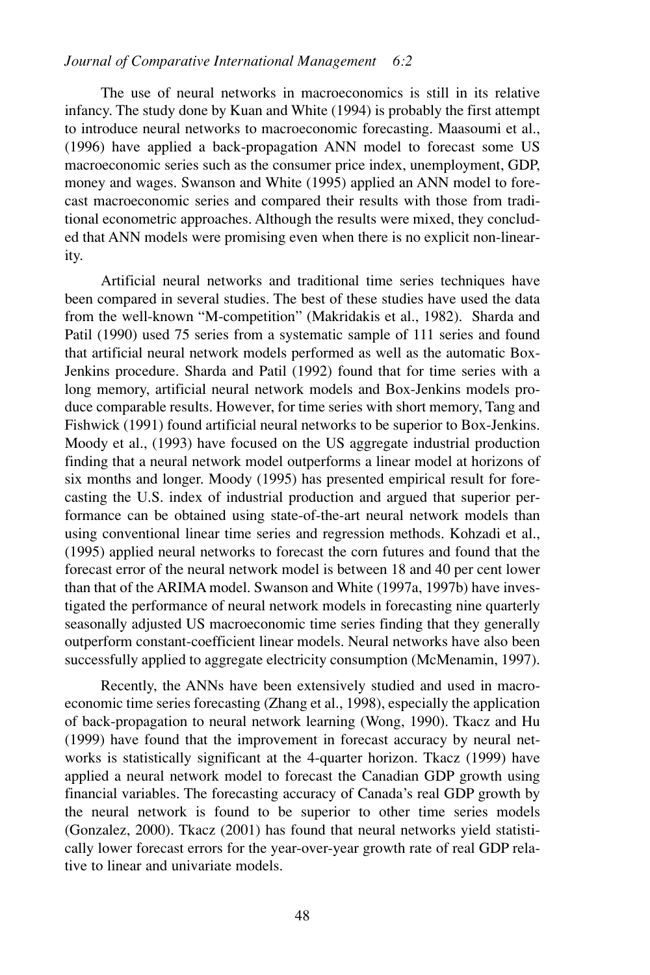The use of neural networks in macroeconomics is still in its relative infancy. The study done by Kuan and White (1994) is probably the first attempt to introduce neural networks to macroeconomic forecasting. Maasoumi et al., (1996) have applied a back-propagation ANN model to forecast some US macroeconomic series such as the consumer price index, unemployment, GDP, money and wages. Swanson and White (1995) applied an ANN model to forecast macroeconomic series and compared their results with those from traditional econometric approaches. Although the results were mixed, they concluded that ANN models were promising even when there is no explicit non-linearity.

Artificial neural networks and traditional time series techniques have been compared in several studies. The best of these studies have used the data from the well-known "M-competition" (Makridakis et al., 1982). Sharda and Patil (1990) used 75 series from a systematic sample of 111 series and found that artificial neural network models performed as well as the automatic Box-Jenkins procedure. Sharda and Patil (1992) found that for time series with a long memory, artificial neural network models and Box-Jenkins models produce comparable results. However, for time series with short memory, Tang and Fishwick (1991) found artificial neural networks to be superior to Box-Jenkins. Moody et al., (1993) have focused on the US aggregate industrial production finding that a neural network model outperforms a linear model at horizons of six months and longer. Moody (1995) has presented empirical result for forecasting the U.S. index of industrial production and argued that superior performance can be obtained using state-of-the-art neural network models than using conventional linear time series and regression methods. Kohzadi et al., (1995) applied neural networks to forecast the corn futures and found that the forecast error of the neural network model is between 18 and 40 per cent lower than that of the ARIMA model. Swanson and White (1997a, 1997b) have investigated the performance of neural network models in forecasting nine quarterly seasonally adjusted US macroeconomic time series finding that they generally outperform constant-coefficient linear models. Neural networks have also been successfully applied to aggregate electricity consumption (McMenamin, 1997).

Recently, the ANNs have been extensively studied and used in macroeconomic time series forecasting (Zhang et al., 1998), especially the application of back-propagation to neural network learning (Wong, 1990). Tkacz and Hu (1999) have found that the improvement in forecast accuracy by neural networks is statistically significant at the 4-quarter horizon. Tkacz (1999) have applied a neural network model to forecast the Canadian GDP growth using financial variables. The forecasting accuracy of Canada's real GDP growth by the neural network is found to be superior to other time series models (Gonzalez, 2000). Tkacz (2001) has found that neural networks yield statistically lower forecast errors for the year-over-year growth rate of real GDP relative to linear and univariate models.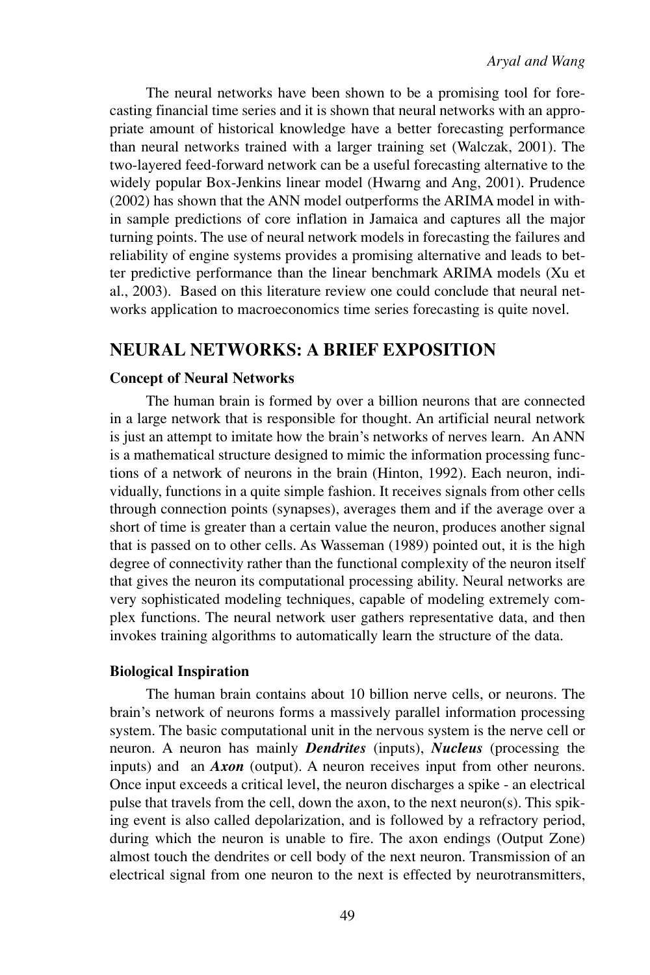The neural networks have been shown to be a promising tool for forecasting financial time series and it is shown that neural networks with an appropriate amount of historical knowledge have a better forecasting performance than neural networks trained with a larger training set (Walczak, 2001). The two-layered feed-forward network can be a useful forecasting alternative to the widely popular Box-Jenkins linear model (Hwarng and Ang, 2001). Prudence (2002) has shown that the ANN model outperforms the ARIMA model in within sample predictions of core inflation in Jamaica and captures all the major turning points. The use of neural network models in forecasting the failures and reliability of engine systems provides a promising alternative and leads to better predictive performance than the linear benchmark ARIMA models (Xu et al., 2003). Based on this literature review one could conclude that neural networks application to macroeconomics time series forecasting is quite novel.

## **NEURAL NETWORKS: A BRIEF EXPOSITION**

#### **Concept of Neural Networks**

The human brain is formed by over a billion neurons that are connected in a large network that is responsible for thought. An artificial neural network is just an attempt to imitate how the brain's networks of nerves learn. An ANN is a mathematical structure designed to mimic the information processing functions of a network of neurons in the brain (Hinton, 1992). Each neuron, individually, functions in a quite simple fashion. It receives signals from other cells through connection points (synapses), averages them and if the average over a short of time is greater than a certain value the neuron, produces another signal that is passed on to other cells. As Wasseman (1989) pointed out, it is the high degree of connectivity rather than the functional complexity of the neuron itself that gives the neuron its computational processing ability. Neural networks are very sophisticated modeling techniques, capable of modeling extremely complex functions. The neural network user gathers representative data, and then invokes training algorithms to automatically learn the structure of the data.

#### **Biological Inspiration**

The human brain contains about 10 billion nerve cells, or neurons. The brain's network of neurons forms a massively parallel information processing system. The basic computational unit in the nervous system is the nerve cell or neuron. A neuron has mainly *Dendrites* (inputs), *Nucleus* (processing the inputs) and an *Axon* (output). A neuron receives input from other neurons. Once input exceeds a critical level, the neuron discharges a spike - an electrical pulse that travels from the cell, down the axon, to the next neuron(s). This spiking event is also called depolarization, and is followed by a refractory period, during which the neuron is unable to fire. The axon endings (Output Zone) almost touch the dendrites or cell body of the next neuron. Transmission of an electrical signal from one neuron to the next is effected by neurotransmitters,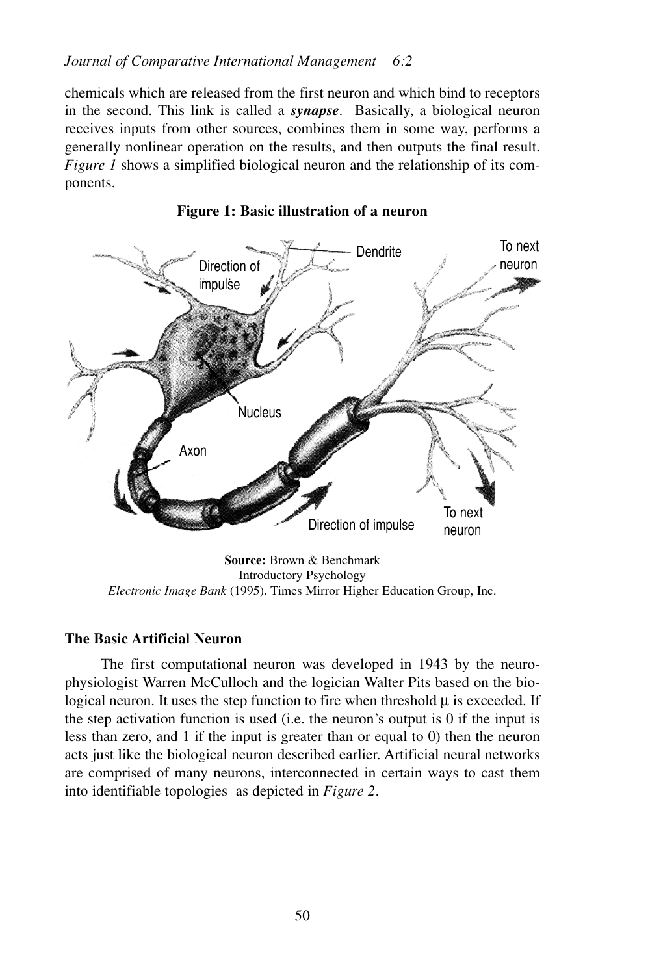### *Journal of Comparative International Management 6:2*

chemicals which are released from the first neuron and which bind to receptors in the second. This link is called a *synapse*. Basically, a biological neuron receives inputs from other sources, combines them in some way, performs a generally nonlinear operation on the results, and then outputs the final result. *Figure 1* shows a simplified biological neuron and the relationship of its components.



**Figure 1: Basic illustration of a neuron**

#### **The Basic Artificial Neuron**

The first computational neuron was developed in 1943 by the neurophysiologist Warren McCulloch and the logician Walter Pits based on the biological neuron. It uses the step function to fire when threshold  $\mu$  is exceeded. If the step activation function is used (i.e. the neuron's output is 0 if the input is less than zero, and 1 if the input is greater than or equal to 0) then the neuron acts just like the biological neuron described earlier. Artificial neural networks are comprised of many neurons, interconnected in certain ways to cast them into identifiable topologies as depicted in *Figure 2*.

Introductory Psychology *Electronic Image Bank* (1995). Times Mirror Higher Education Group, Inc.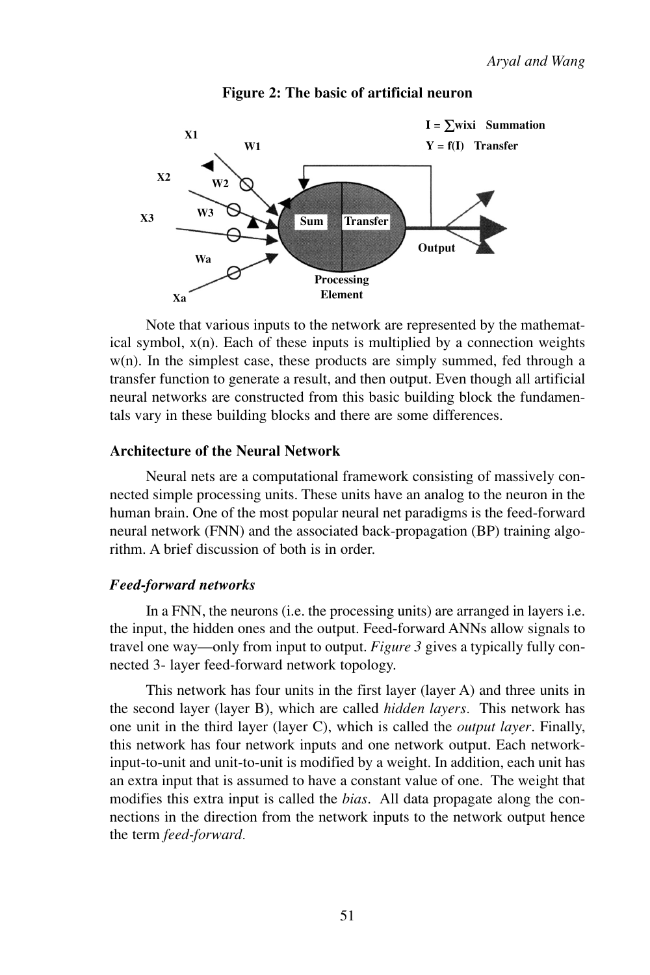

#### **Figure 2: The basic of artificial neuron**

Note that various inputs to the network are represented by the mathematical symbol,  $x(n)$ . Each of these inputs is multiplied by a connection weights w(n). In the simplest case, these products are simply summed, fed through a transfer function to generate a result, and then output. Even though all artificial neural networks are constructed from this basic building block the fundamentals vary in these building blocks and there are some differences.

#### **Architecture of the Neural Network**

Neural nets are a computational framework consisting of massively connected simple processing units. These units have an analog to the neuron in the human brain. One of the most popular neural net paradigms is the feed-forward neural network (FNN) and the associated back-propagation (BP) training algorithm. A brief discussion of both is in order.

#### *Feed-forward networks*

In a FNN, the neurons (i.e. the processing units) are arranged in layers i.e. the input, the hidden ones and the output. Feed-forward ANNs allow signals to travel one way—only from input to output. *Figure 3* gives a typically fully connected 3- layer feed-forward network topology.

This network has four units in the first layer (layer A) and three units in the second layer (layer B), which are called *hidden layers.* This network has one unit in the third layer (layer C), which is called the *output layer*. Finally, this network has four network inputs and one network output. Each networkinput-to-unit and unit-to-unit is modified by a weight. In addition, each unit has an extra input that is assumed to have a constant value of one. The weight that modifies this extra input is called the *bias*. All data propagate along the connections in the direction from the network inputs to the network output hence the term *feed-forward.*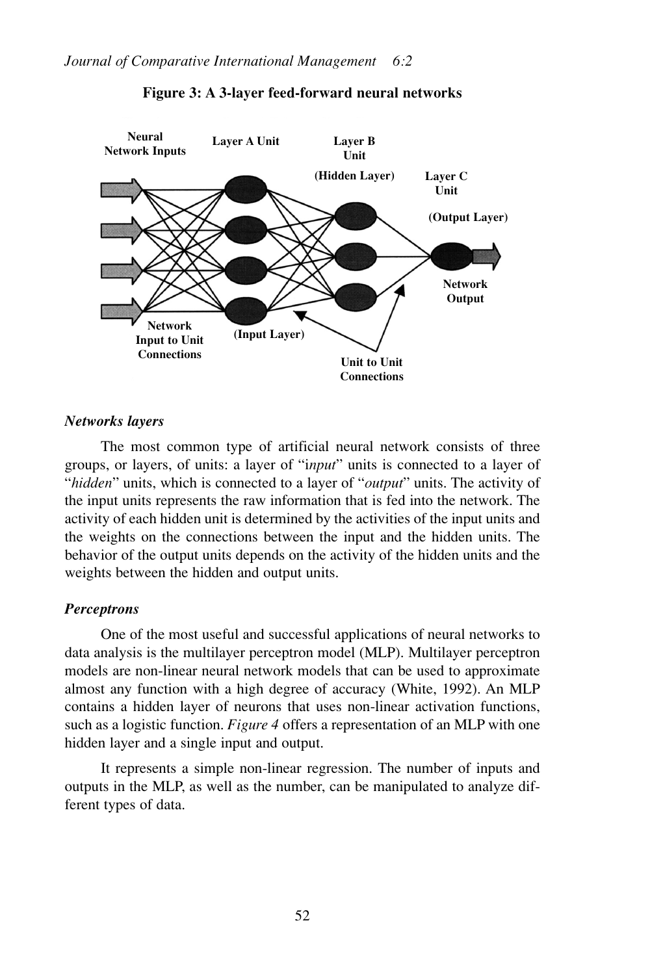

#### **Figure 3: A 3-layer feed-forward neural networks**

#### *Networks layers*

The most common type of artificial neural network consists of three groups, or layers, of units: a layer of "i*nput*" units is connected to a layer of "*hidden*" units, which is connected to a layer of "*output*" units. The activity of the input units represents the raw information that is fed into the network. The activity of each hidden unit is determined by the activities of the input units and the weights on the connections between the input and the hidden units. The behavior of the output units depends on the activity of the hidden units and the weights between the hidden and output units.

#### *Perceptrons*

One of the most useful and successful applications of neural networks to data analysis is the multilayer perceptron model (MLP). Multilayer perceptron models are non-linear neural network models that can be used to approximate almost any function with a high degree of accuracy (White, 1992). An MLP contains a hidden layer of neurons that uses non-linear activation functions, such as a logistic function. *Figure 4* offers a representation of an MLP with one hidden layer and a single input and output.

It represents a simple non-linear regression. The number of inputs and outputs in the MLP, as well as the number, can be manipulated to analyze different types of data.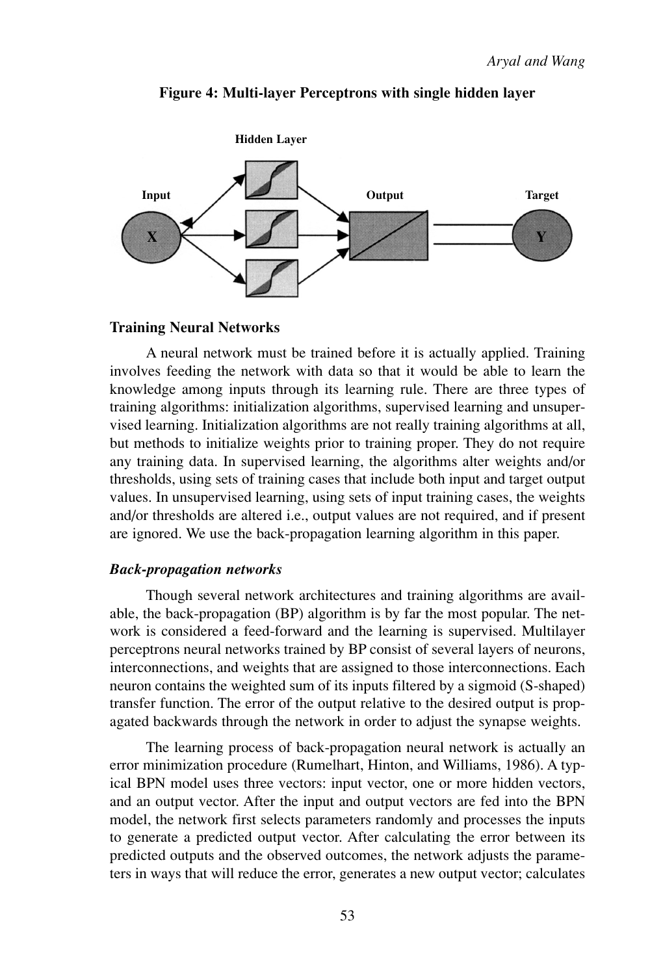

#### **Figure 4: Multi-layer Perceptrons with single hidden layer**

#### **Training Neural Networks**

A neural network must be trained before it is actually applied. Training involves feeding the network with data so that it would be able to learn the knowledge among inputs through its learning rule. There are three types of training algorithms: initialization algorithms, supervised learning and unsupervised learning. Initialization algorithms are not really training algorithms at all, but methods to initialize weights prior to training proper. They do not require any training data. In supervised learning, the algorithms alter weights and/or thresholds, using sets of training cases that include both input and target output values. In unsupervised learning, using sets of input training cases, the weights and/or thresholds are altered i.e., output values are not required, and if present are ignored. We use the back-propagation learning algorithm in this paper.

#### *Back-propagation networks*

Though several network architectures and training algorithms are available, the back-propagation (BP) algorithm is by far the most popular. The network is considered a feed-forward and the learning is supervised. Multilayer perceptrons neural networks trained by BP consist of several layers of neurons, interconnections, and weights that are assigned to those interconnections. Each neuron contains the weighted sum of its inputs filtered by a sigmoid (S-shaped) transfer function. The error of the output relative to the desired output is propagated backwards through the network in order to adjust the synapse weights.

The learning process of back-propagation neural network is actually an error minimization procedure (Rumelhart, Hinton, and Williams, 1986). A typical BPN model uses three vectors: input vector, one or more hidden vectors, and an output vector. After the input and output vectors are fed into the BPN model, the network first selects parameters randomly and processes the inputs to generate a predicted output vector. After calculating the error between its predicted outputs and the observed outcomes, the network adjusts the parameters in ways that will reduce the error, generates a new output vector; calculates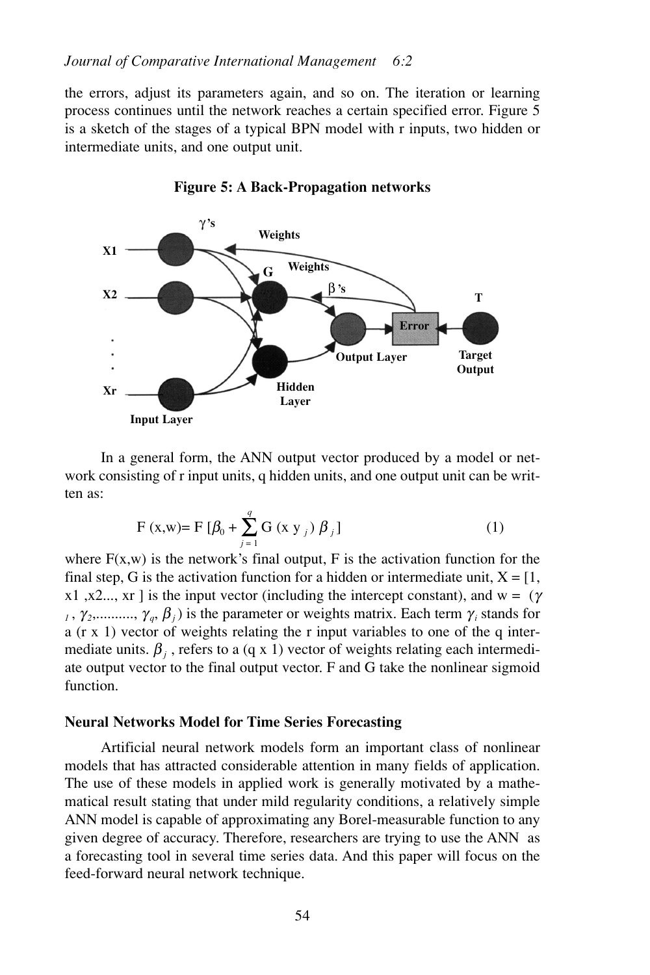the errors, adjust its parameters again, and so on. The iteration or learning process continues until the network reaches a certain specified error. Figure 5 is a sketch of the stages of a typical BPN model with r inputs, two hidden or intermediate units, and one output unit.





In a general form, the ANN output vector produced by a model or network consisting of r input units, q hidden units, and one output unit can be written as:

$$
F(x, w) = F [\beta_0 + \sum_{j=1}^{q} G(x y_j) \beta_j]
$$
 (1)

where  $F(x, w)$  is the network's final output, F is the activation function for the final step, G is the activation function for a hidden or intermediate unit,  $X = [1,$ x1, x2..., xr ] is the input vector (including the intercept constant), and w =  $(\gamma$  $\gamma$ ,  $\gamma$ <sub>2</sub>,.........,  $\gamma$ <sub>*a*</sub>,  $\beta$ <sub>*i*</sub>) is the parameter or weights matrix. Each term  $\gamma$ <sub>*i*</sub> stands for a (r x 1) vector of weights relating the r input variables to one of the q intermediate units.  $\beta_i$ , refers to a (q x 1) vector of weights relating each intermediate output vector to the final output vector. F and G take the nonlinear sigmoid function.

#### **Neural Networks Model for Time Series Forecasting**

Artificial neural network models form an important class of nonlinear models that has attracted considerable attention in many fields of application. The use of these models in applied work is generally motivated by a mathematical result stating that under mild regularity conditions, a relatively simple ANN model is capable of approximating any Borel-measurable function to any given degree of accuracy. Therefore, researchers are trying to use the ANN as a forecasting tool in several time series data. And this paper will focus on the feed-forward neural network technique.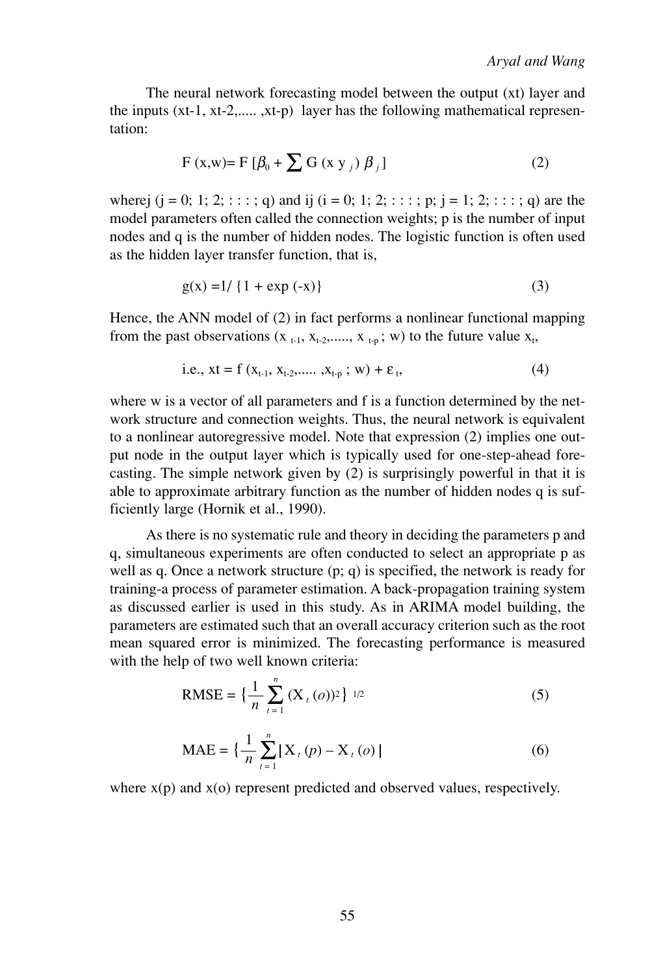The neural network forecasting model between the output (xt) layer and the inputs (xt-1, xt-2,..... ,xt-p) layer has the following mathematical representation:

$$
F(x,w)=F\left[\beta_0+\sum G(x y_j) \beta_j\right]
$$
 (2)

wherej  $(j = 0; 1; 2; \dots; q)$  and ij  $(i = 0; 1; 2; \dots; p; j = 1; 2; \dots; q)$  are the model parameters often called the connection weights; p is the number of input nodes and q is the number of hidden nodes. The logistic function is often used as the hidden layer transfer function, that is,

$$
g(x) = 1 / \{1 + \exp(-x)\}\tag{3}
$$

Hence, the ANN model of (2) in fact performs a nonlinear functional mapping from the past observations  $(x_{t-1}, x_{t-2}, \ldots, x_{t-p}; w)$  to the future value  $x_t$ ,

i.e., 
$$
xt = f(x_{t-1}, x_{t-2},..., x_{t-p}; w) + \varepsilon_t,
$$
 (4)

where w is a vector of all parameters and f is a function determined by the network structure and connection weights. Thus, the neural network is equivalent to a nonlinear autoregressive model. Note that expression (2) implies one output node in the output layer which is typically used for one-step-ahead forecasting. The simple network given by (2) is surprisingly powerful in that it is able to approximate arbitrary function as the number of hidden nodes q is sufficiently large (Hornik et al., 1990).

As there is no systematic rule and theory in deciding the parameters p and q, simultaneous experiments are often conducted to select an appropriate p as well as q. Once a network structure (p; q) is specified, the network is ready for training-a process of parameter estimation. A back-propagation training system as discussed earlier is used in this study. As in ARIMA model building, the parameters are estimated such that an overall accuracy criterion such as the root mean squared error is minimized. The forecasting performance is measured with the help of two well known criteria:

RMSE = 
$$
\left\{ \frac{1}{n} \sum_{t=1}^{n} (X_t(o))^2 \right\}^{1/2}
$$
 (5)

$$
\text{MAE} = \left\{ \frac{1}{n} \sum_{t=1}^{n} |X_t(p) - X_t(o)| \right\} \tag{6}
$$

where  $x(p)$  and  $x(o)$  represent predicted and observed values, respectively.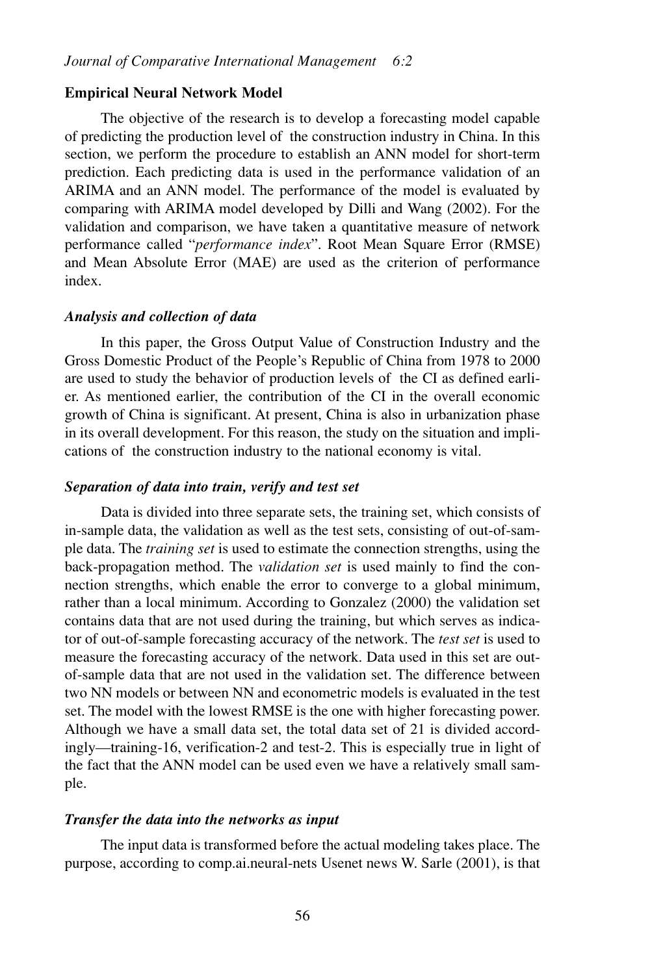#### **Empirical Neural Network Model**

The objective of the research is to develop a forecasting model capable of predicting the production level of the construction industry in China. In this section, we perform the procedure to establish an ANN model for short-term prediction. Each predicting data is used in the performance validation of an ARIMA and an ANN model. The performance of the model is evaluated by comparing with ARIMA model developed by Dilli and Wang (2002). For the validation and comparison, we have taken a quantitative measure of network performance called "*performance index*". Root Mean Square Error (RMSE) and Mean Absolute Error (MAE) are used as the criterion of performance index.

#### *Analysis and collection of data*

In this paper, the Gross Output Value of Construction Industry and the Gross Domestic Product of the People's Republic of China from 1978 to 2000 are used to study the behavior of production levels of the CI as defined earlier. As mentioned earlier, the contribution of the CI in the overall economic growth of China is significant. At present, China is also in urbanization phase in its overall development. For this reason, the study on the situation and implications of the construction industry to the national economy is vital.

#### *Separation of data into train, verify and test set*

Data is divided into three separate sets, the training set, which consists of in-sample data, the validation as well as the test sets, consisting of out-of-sample data. The *training set* is used to estimate the connection strengths, using the back-propagation method. The *validation set* is used mainly to find the connection strengths, which enable the error to converge to a global minimum, rather than a local minimum. According to Gonzalez (2000) the validation set contains data that are not used during the training, but which serves as indicator of out-of-sample forecasting accuracy of the network. The *test set* is used to measure the forecasting accuracy of the network. Data used in this set are outof-sample data that are not used in the validation set. The difference between two NN models or between NN and econometric models is evaluated in the test set. The model with the lowest RMSE is the one with higher forecasting power. Although we have a small data set, the total data set of 21 is divided accordingly—training-16, verification-2 and test-2. This is especially true in light of the fact that the ANN model can be used even we have a relatively small sample.

#### *Transfer the data into the networks as input*

The input data is transformed before the actual modeling takes place. The purpose, according to comp.ai.neural-nets Usenet news W. Sarle (2001), is that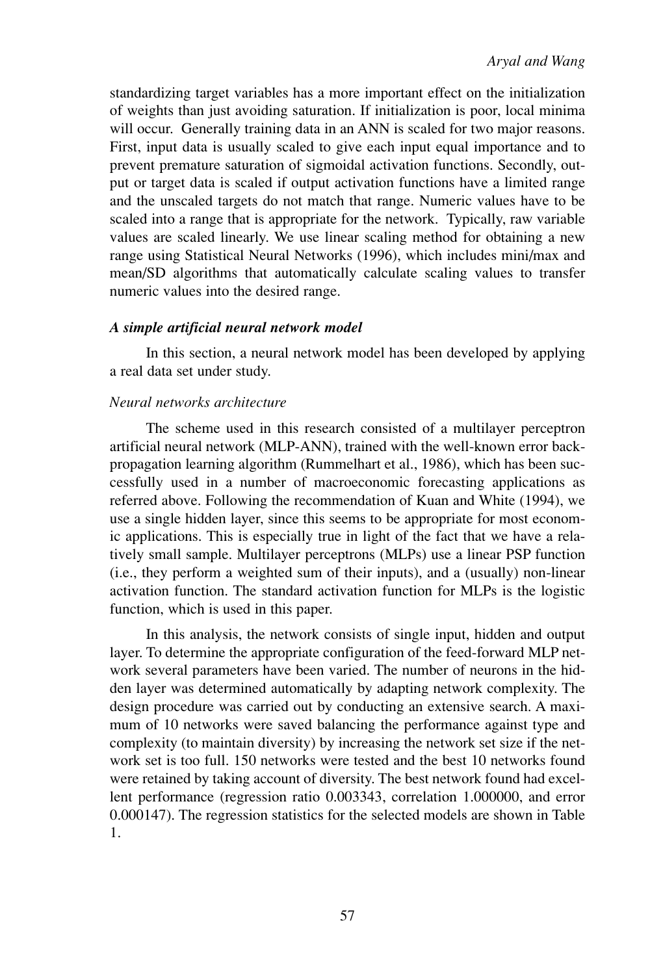standardizing target variables has a more important effect on the initialization of weights than just avoiding saturation. If initialization is poor, local minima will occur. Generally training data in an ANN is scaled for two major reasons. First, input data is usually scaled to give each input equal importance and to prevent premature saturation of sigmoidal activation functions. Secondly, output or target data is scaled if output activation functions have a limited range and the unscaled targets do not match that range. Numeric values have to be scaled into a range that is appropriate for the network. Typically, raw variable values are scaled linearly. We use linear scaling method for obtaining a new range using Statistical Neural Networks (1996), which includes mini/max and mean/SD algorithms that automatically calculate scaling values to transfer numeric values into the desired range.

#### *A simple artificial neural network model*

In this section, a neural network model has been developed by applying a real data set under study.

#### *Neural networks architecture*

The scheme used in this research consisted of a multilayer perceptron artificial neural network (MLP-ANN), trained with the well-known error backpropagation learning algorithm (Rummelhart et al., 1986), which has been successfully used in a number of macroeconomic forecasting applications as referred above. Following the recommendation of Kuan and White (1994), we use a single hidden layer, since this seems to be appropriate for most economic applications. This is especially true in light of the fact that we have a relatively small sample. Multilayer perceptrons (MLPs) use a linear PSP function (i.e., they perform a weighted sum of their inputs), and a (usually) non-linear activation function. The standard activation function for MLPs is the logistic function, which is used in this paper.

In this analysis, the network consists of single input, hidden and output layer. To determine the appropriate configuration of the feed-forward MLP network several parameters have been varied. The number of neurons in the hidden layer was determined automatically by adapting network complexity. The design procedure was carried out by conducting an extensive search. A maximum of 10 networks were saved balancing the performance against type and complexity (to maintain diversity) by increasing the network set size if the network set is too full. 150 networks were tested and the best 10 networks found were retained by taking account of diversity. The best network found had excellent performance (regression ratio 0.003343, correlation 1.000000, and error 0.000147). The regression statistics for the selected models are shown in Table 1.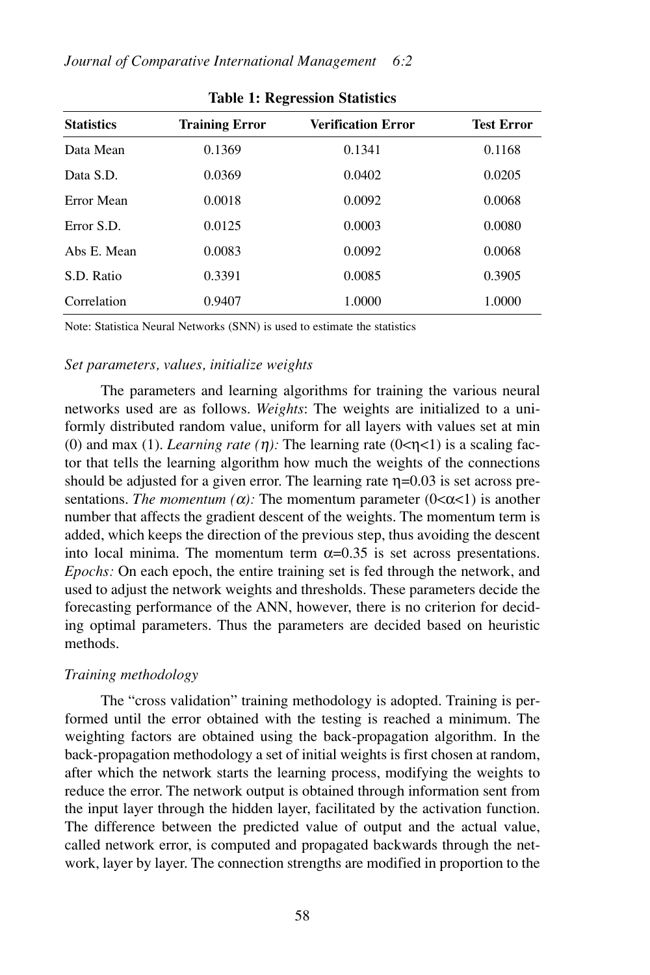| <b>Statistics</b> | <b>Training Error</b> | <b>Verification Error</b> | <b>Test Error</b> |  |
|-------------------|-----------------------|---------------------------|-------------------|--|
| Data Mean         | 0.1369                | 0.1341                    | 0.1168            |  |
| Data S.D.         | 0.0369                | 0.0402                    | 0.0205            |  |
| Error Mean        | 0.0018                | 0.0092                    | 0.0068            |  |
| Error S.D.        | 0.0125                | 0.0003                    | 0.0080            |  |
| Abs E. Mean       | 0.0083                | 0.0092                    | 0.0068            |  |
| S.D. Ratio        | 0.3391                | 0.0085                    | 0.3905            |  |
| Correlation       | 0.9407                | 1.0000                    | 1.0000            |  |

**Table 1: Regression Statistics**

Note: Statistica Neural Networks (SNN) is used to estimate the statistics

#### *Set parameters, values, initialize weights*

The parameters and learning algorithms for training the various neural networks used are as follows. *Weights*: The weights are initialized to a uniformly distributed random value, uniform for all layers with values set at min (0) and max (1). *Learning rate* ( $\eta$ ): The learning rate ( $0 \le \eta \le 1$ ) is a scaling factor that tells the learning algorithm how much the weights of the connections should be adjusted for a given error. The learning rate  $\eta$ =0.03 is set across presentations. *The momentum (* $\alpha$ *)*: The momentum parameter ( $0 < \alpha < 1$ ) is another number that affects the gradient descent of the weights. The momentum term is added, which keeps the direction of the previous step, thus avoiding the descent into local minima. The momentum term  $\alpha$ =0.35 is set across presentations. *Epochs:* On each epoch, the entire training set is fed through the network, and used to adjust the network weights and thresholds. These parameters decide the forecasting performance of the ANN, however, there is no criterion for deciding optimal parameters. Thus the parameters are decided based on heuristic methods.

#### *Training methodology*

The "cross validation" training methodology is adopted. Training is performed until the error obtained with the testing is reached a minimum. The weighting factors are obtained using the back-propagation algorithm. In the back-propagation methodology a set of initial weights is first chosen at random, after which the network starts the learning process, modifying the weights to reduce the error. The network output is obtained through information sent from the input layer through the hidden layer, facilitated by the activation function. The difference between the predicted value of output and the actual value, called network error, is computed and propagated backwards through the network, layer by layer. The connection strengths are modified in proportion to the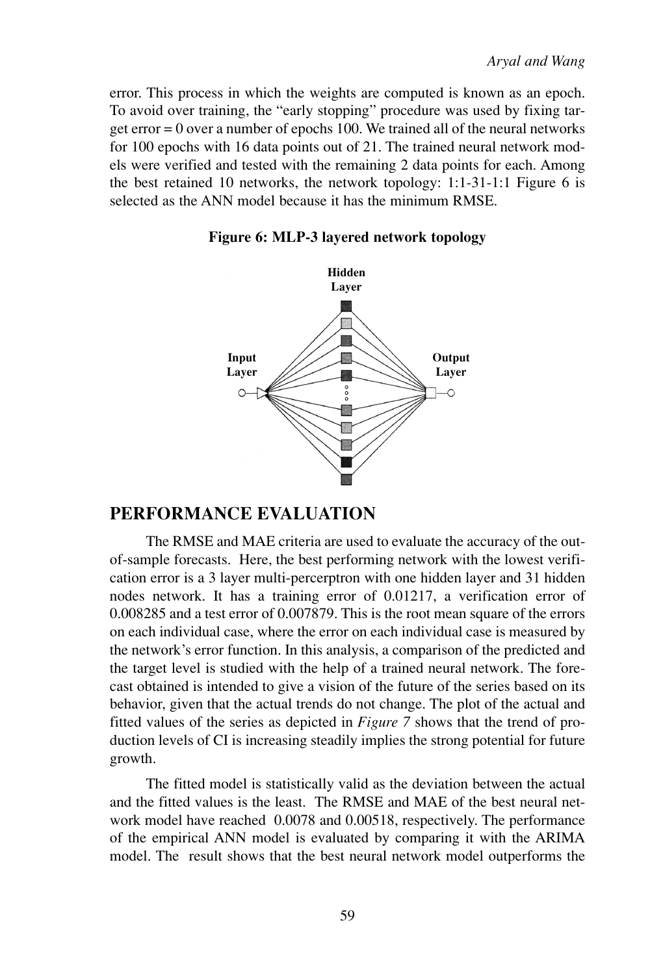error. This process in which the weights are computed is known as an epoch. To avoid over training, the "early stopping" procedure was used by fixing target error = 0 over a number of epochs 100. We trained all of the neural networks for 100 epochs with 16 data points out of 21. The trained neural network models were verified and tested with the remaining 2 data points for each. Among the best retained 10 networks, the network topology: 1:1-31-1:1 Figure 6 is selected as the ANN model because it has the minimum RMSE.



**Figure 6: MLP-3 layered network topology**

## **PERFORMANCE EVALUATION**

The RMSE and MAE criteria are used to evaluate the accuracy of the outof-sample forecasts. Here, the best performing network with the lowest verification error is a 3 layer multi-percerptron with one hidden layer and 31 hidden nodes network. It has a training error of 0.01217, a verification error of 0.008285 and a test error of 0.007879. This is the root mean square of the errors on each individual case, where the error on each individual case is measured by the network's error function. In this analysis, a comparison of the predicted and the target level is studied with the help of a trained neural network. The forecast obtained is intended to give a vision of the future of the series based on its behavior, given that the actual trends do not change. The plot of the actual and fitted values of the series as depicted in *Figure 7* shows that the trend of production levels of CI is increasing steadily implies the strong potential for future growth.

The fitted model is statistically valid as the deviation between the actual and the fitted values is the least. The RMSE and MAE of the best neural network model have reached 0.0078 and 0.00518, respectively. The performance of the empirical ANN model is evaluated by comparing it with the ARIMA model. The result shows that the best neural network model outperforms the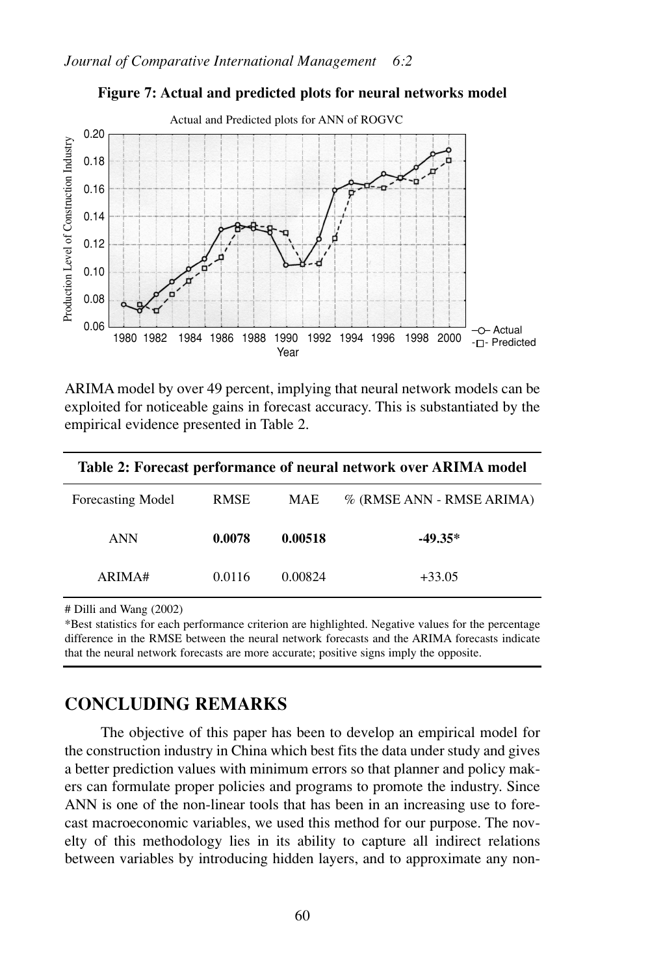

#### **Figure 7: Actual and predicted plots for neural networks model**

ARIMA model by over 49 percent, implying that neural network models can be exploited for noticeable gains in forecast accuracy. This is substantiated by the empirical evidence presented in Table 2.

| Table 2: Forecast performance of neural network over ARIMA model |             |            |                           |  |
|------------------------------------------------------------------|-------------|------------|---------------------------|--|
| <b>Forecasting Model</b>                                         | <b>RMSE</b> | <b>MAE</b> | % (RMSE ANN - RMSE ARIMA) |  |
| ANN                                                              | 0.0078      | 0.00518    | $-49.35*$                 |  |
| ARIMA#                                                           | 0.0116      | 0.00824    | $+33.05$                  |  |

# Dilli and Wang (2002)

\*Best statistics for each performance criterion are highlighted. Negative values for the percentage difference in the RMSE between the neural network forecasts and the ARIMA forecasts indicate that the neural network forecasts are more accurate; positive signs imply the opposite.

## **CONCLUDING REMARKS**

The objective of this paper has been to develop an empirical model for the construction industry in China which best fits the data under study and gives a better prediction values with minimum errors so that planner and policy makers can formulate proper policies and programs to promote the industry. Since ANN is one of the non-linear tools that has been in an increasing use to forecast macroeconomic variables, we used this method for our purpose. The novelty of this methodology lies in its ability to capture all indirect relations between variables by introducing hidden layers, and to approximate any non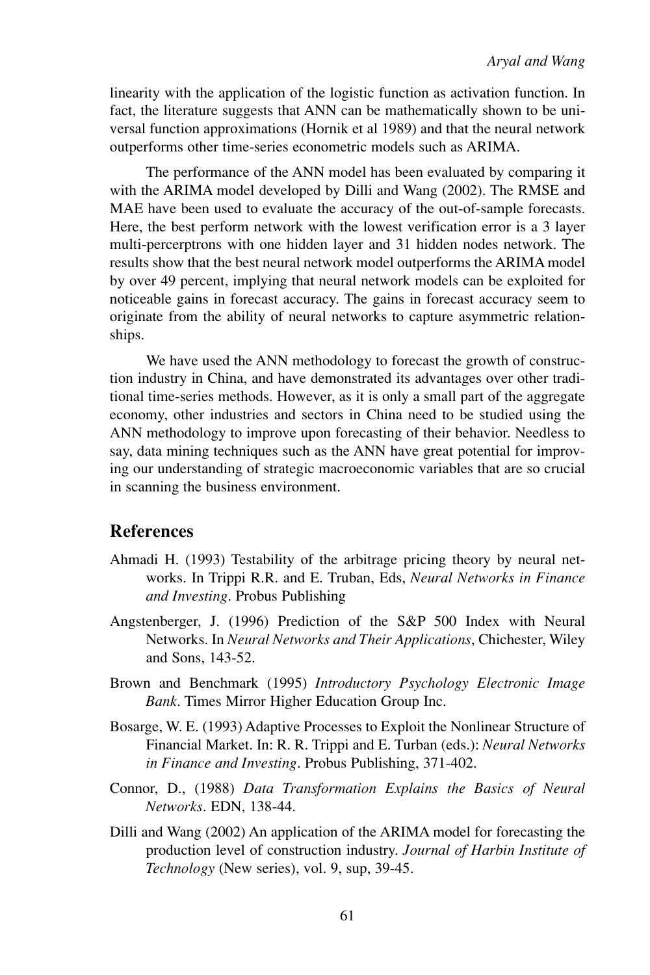linearity with the application of the logistic function as activation function. In fact, the literature suggests that ANN can be mathematically shown to be universal function approximations (Hornik et al 1989) and that the neural network outperforms other time-series econometric models such as ARIMA.

The performance of the ANN model has been evaluated by comparing it with the ARIMA model developed by Dilli and Wang (2002). The RMSE and MAE have been used to evaluate the accuracy of the out-of-sample forecasts. Here, the best perform network with the lowest verification error is a 3 layer multi-percerptrons with one hidden layer and 31 hidden nodes network. The results show that the best neural network model outperforms the ARIMA model by over 49 percent, implying that neural network models can be exploited for noticeable gains in forecast accuracy. The gains in forecast accuracy seem to originate from the ability of neural networks to capture asymmetric relationships.

We have used the ANN methodology to forecast the growth of construction industry in China, and have demonstrated its advantages over other traditional time-series methods. However, as it is only a small part of the aggregate economy, other industries and sectors in China need to be studied using the ANN methodology to improve upon forecasting of their behavior. Needless to say, data mining techniques such as the ANN have great potential for improving our understanding of strategic macroeconomic variables that are so crucial in scanning the business environment.

## **References**

- Ahmadi H. (1993) Testability of the arbitrage pricing theory by neural networks. In Trippi R.R. and E. Truban, Eds, *Neural Networks in Finance and Investing*. Probus Publishing
- Angstenberger, J. (1996) Prediction of the S&P 500 Index with Neural Networks. In *Neural Networks and Their Applications*, Chichester, Wiley and Sons, 143-52.
- Brown and Benchmark (1995) *Introductory Psychology Electronic Image Bank*. Times Mirror Higher Education Group Inc.
- Bosarge, W. E. (1993) Adaptive Processes to Exploit the Nonlinear Structure of Financial Market. In: R. R. Trippi and E. Turban (eds.): *Neural Networks in Finance and Investing*. Probus Publishing, 371-402.
- Connor, D., (1988) *Data Transformation Explains the Basics of Neural Networks*. EDN, 138-44.
- Dilli and Wang (2002) An application of the ARIMA model for forecasting the production level of construction industry. *Journal of Harbin Institute of Technology* (New series), vol. 9, sup, 39-45.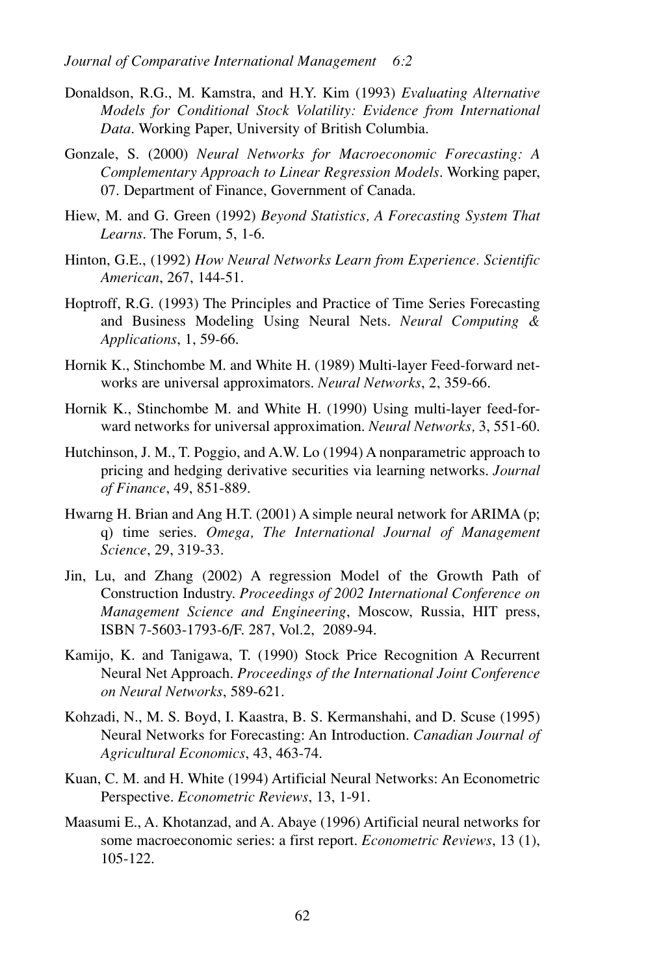- Donaldson, R.G., M. Kamstra, and H.Y. Kim (1993) *Evaluating Alternative Models for Conditional Stock Volatility: Evidence from International Data*. Working Paper, University of British Columbia.
- Gonzale, S. (2000) *Neural Networks for Macroeconomic Forecasting: A Complementary Approach to Linear Regression Models*. Working paper, 07. Department of Finance, Government of Canada.
- Hiew, M. and G. Green (1992) *Beyond Statistics, A Forecasting System That Learns*. The Forum, 5, 1-6.
- Hinton, G.E., (1992) *How Neural Networks Learn from Experience. Scientific American*, 267, 144-51.
- Hoptroff, R.G. (1993) The Principles and Practice of Time Series Forecasting and Business Modeling Using Neural Nets. *Neural Computing & Applications*, 1, 59-66.
- Hornik K., Stinchombe M. and White H. (1989) Multi-layer Feed-forward networks are universal approximators. *Neural Networks*, 2, 359-66.
- Hornik K., Stinchombe M. and White H. (1990) Using multi-layer feed-forward networks for universal approximation. *Neural Networks,* 3, 551-60.
- Hutchinson, J. M., T. Poggio, and A.W. Lo (1994) A nonparametric approach to pricing and hedging derivative securities via learning networks. *Journal of Finance*, 49, 851-889.
- Hwarng H. Brian and Ang H.T. (2001) A simple neural network for ARIMA (p; q) time series. *Omega, The International Journal of Management Science*, 29, 319-33.
- Jin, Lu, and Zhang (2002) A regression Model of the Growth Path of Construction Industry. *Proceedings of 2002 International Conference on Management Science and Engineering*, Moscow, Russia, HIT press, ISBN 7-5603-1793-6/F. 287, Vol.2, 2089-94.
- Kamijo, K. and Tanigawa, T. (1990) Stock Price Recognition A Recurrent Neural Net Approach. *Proceedings of the International Joint Conference on Neural Networks*, 589-621.
- Kohzadi, N., M. S. Boyd, I. Kaastra, B. S. Kermanshahi, and D. Scuse (1995) Neural Networks for Forecasting: An Introduction. *Canadian Journal of Agricultural Economics*, 43, 463-74.
- Kuan, C. M. and H. White (1994) Artificial Neural Networks: An Econometric Perspective. *Econometric Reviews*, 13, 1-91.
- Maasumi E., A. Khotanzad, and A. Abaye (1996) Artificial neural networks for some macroeconomic series: a first report. *Econometric Reviews*, 13 (1), 105-122.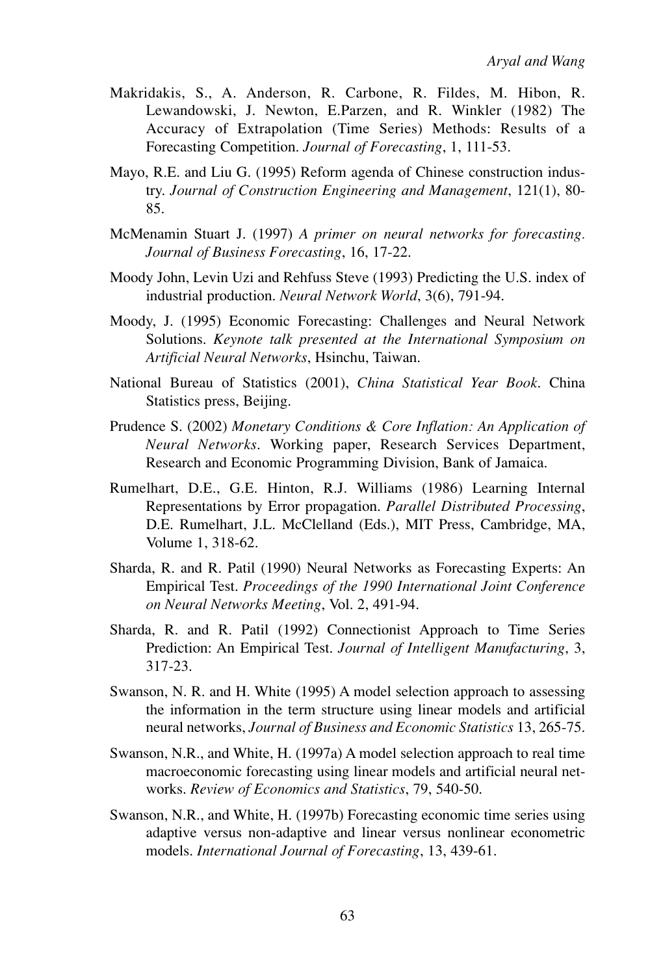- Makridakis, S., A. Anderson, R. Carbone, R. Fildes, M. Hibon, R. Lewandowski, J. Newton, E.Parzen, and R. Winkler (1982) The Accuracy of Extrapolation (Time Series) Methods: Results of a Forecasting Competition. *Journal of Forecasting*, 1, 111-53.
- Mayo, R.E. and Liu G. (1995) Reform agenda of Chinese construction industry. *Journal of Construction Engineering and Management*, 121(1), 80- 85.
- McMenamin Stuart J. (1997) *A primer on neural networks for forecasting. Journal of Business Forecasting*, 16, 17-22.
- Moody John, Levin Uzi and Rehfuss Steve (1993) Predicting the U.S. index of industrial production. *Neural Network World*, 3(6), 791-94.
- Moody, J. (1995) Economic Forecasting: Challenges and Neural Network Solutions. *Keynote talk presented at the International Symposium on Artificial Neural Networks*, Hsinchu, Taiwan.
- National Bureau of Statistics (2001), *China Statistical Year Book*. China Statistics press, Beijing.
- Prudence S. (2002) *Monetary Conditions & Core Inflation: An Application of Neural Networks*. Working paper, Research Services Department, Research and Economic Programming Division, Bank of Jamaica.
- Rumelhart, D.E., G.E. Hinton, R.J. Williams (1986) Learning Internal Representations by Error propagation. *Parallel Distributed Processing*, D.E. Rumelhart, J.L. McClelland (Eds.), MIT Press, Cambridge, MA, Volume 1, 318-62.
- Sharda, R. and R. Patil (1990) Neural Networks as Forecasting Experts: An Empirical Test. *Proceedings of the 1990 International Joint Conference on Neural Networks Meeting*, Vol. 2, 491-94.
- Sharda, R. and R. Patil (1992) Connectionist Approach to Time Series Prediction: An Empirical Test. *Journal of Intelligent Manufacturing*, 3, 317-23.
- Swanson, N. R. and H. White (1995) A model selection approach to assessing the information in the term structure using linear models and artificial neural networks, *Journal of Business and Economic Statistics* 13, 265-75.
- Swanson, N.R., and White, H. (1997a) A model selection approach to real time macroeconomic forecasting using linear models and artificial neural networks. *Review of Economics and Statistics*, 79, 540-50.
- Swanson, N.R., and White, H. (1997b) Forecasting economic time series using adaptive versus non-adaptive and linear versus nonlinear econometric models. *International Journal of Forecasting*, 13, 439-61.